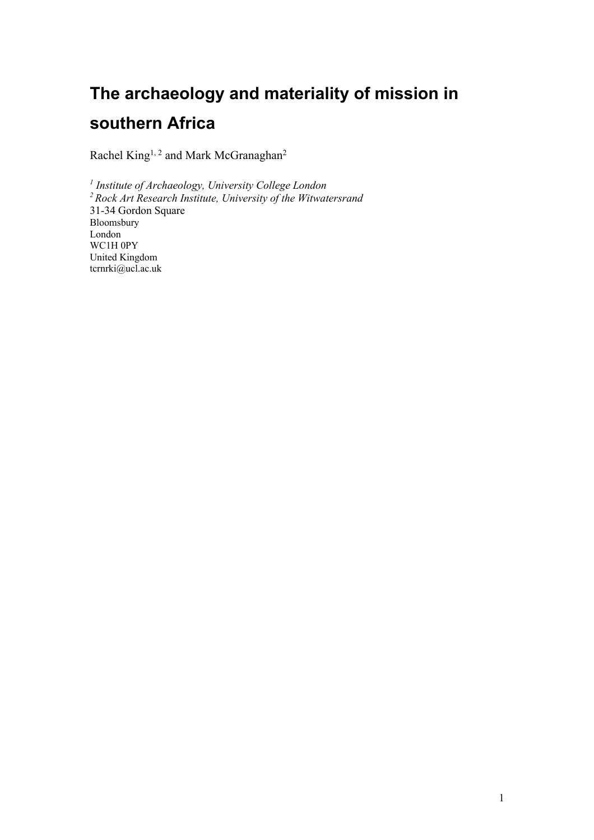# **The archaeology and materiality of mission in southern Africa**

Rachel  $\rm King^{1,\,2}$  and Mark McGranaghan $^2$ 

*<sup>1</sup> Institute of Archaeology, University College London 2 Rock Art Research Institute, University of the Witwatersrand* 31-34 Gordon Square Bloomsbury London WC1H 0PY United Kingdom tcrnrki@ucl.ac.uk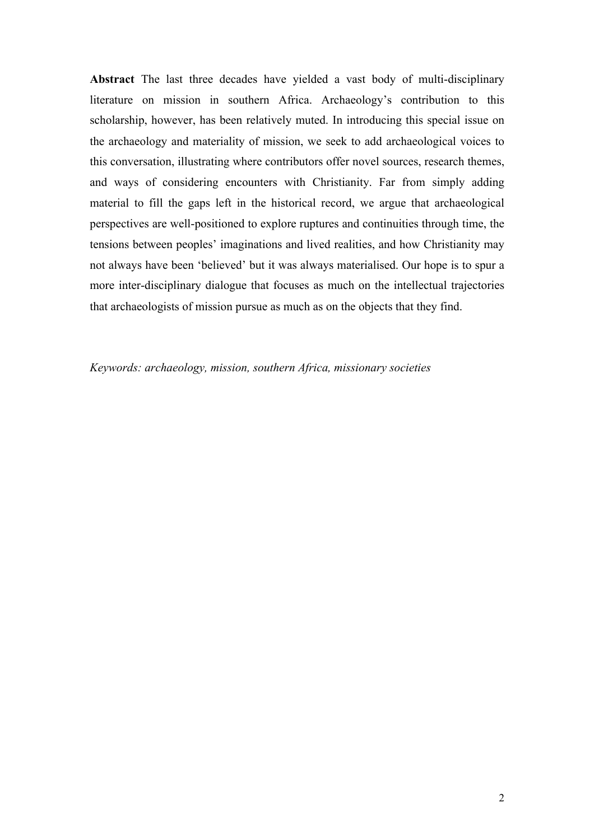**Abstract** The last three decades have yielded a vast body of multi-disciplinary literature on mission in southern Africa. Archaeology's contribution to this scholarship, however, has been relatively muted. In introducing this special issue on the archaeology and materiality of mission, we seek to add archaeological voices to this conversation, illustrating where contributors offer novel sources, research themes, and ways of considering encounters with Christianity. Far from simply adding material to fill the gaps left in the historical record, we argue that archaeological perspectives are well-positioned to explore ruptures and continuities through time, the tensions between peoples' imaginations and lived realities, and how Christianity may not always have been 'believed' but it was always materialised. Our hope is to spur a more inter-disciplinary dialogue that focuses as much on the intellectual trajectories that archaeologists of mission pursue as much as on the objects that they find.

*Keywords: archaeology, mission, southern Africa, missionary societies*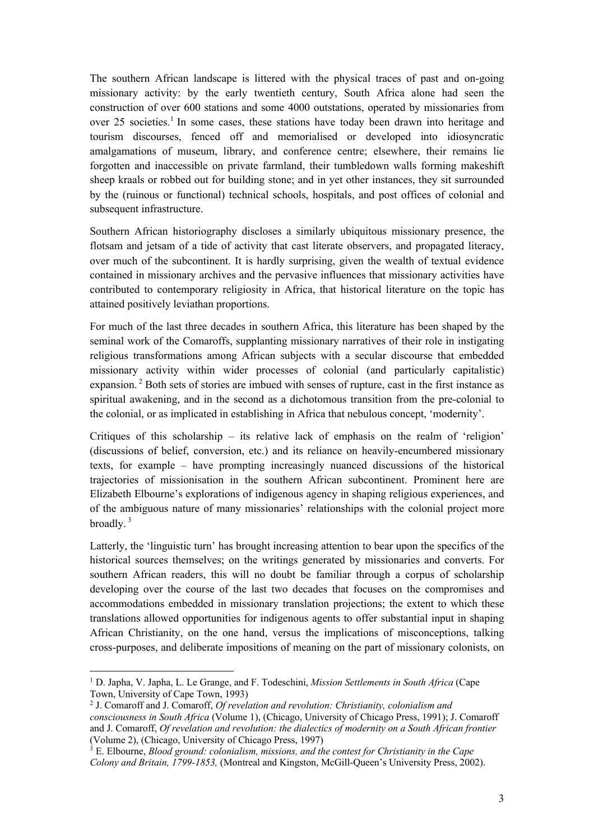The southern African landscape is littered with the physical traces of past and on-going missionary activity: by the early twentieth century, South Africa alone had seen the construction of over 600 stations and some 4000 outstations, operated by missionaries from over 25 societies. <sup>1</sup> In some cases, these stations have today been drawn into heritage and tourism discourses, fenced off and memorialised or developed into idiosyncratic amalgamations of museum, library, and conference centre; elsewhere, their remains lie forgotten and inaccessible on private farmland, their tumbledown walls forming makeshift sheep kraals or robbed out for building stone; and in yet other instances, they sit surrounded by the (ruinous or functional) technical schools, hospitals, and post offices of colonial and subsequent infrastructure.

Southern African historiography discloses a similarly ubiquitous missionary presence, the flotsam and jetsam of a tide of activity that cast literate observers, and propagated literacy, over much of the subcontinent. It is hardly surprising, given the wealth of textual evidence contained in missionary archives and the pervasive influences that missionary activities have contributed to contemporary religiosity in Africa, that historical literature on the topic has attained positively leviathan proportions.

For much of the last three decades in southern Africa, this literature has been shaped by the seminal work of the Comaroffs, supplanting missionary narratives of their role in instigating religious transformations among African subjects with a secular discourse that embedded missionary activity within wider processes of colonial (and particularly capitalistic) expansion.<sup>2</sup> Both sets of stories are imbued with senses of rupture, cast in the first instance as spiritual awakening, and in the second as a dichotomous transition from the pre-colonial to the colonial, or as implicated in establishing in Africa that nebulous concept, 'modernity'.

Critiques of this scholarship – its relative lack of emphasis on the realm of 'religion' (discussions of belief, conversion, etc.) and its reliance on heavily-encumbered missionary texts, for example – have prompting increasingly nuanced discussions of the historical trajectories of missionisation in the southern African subcontinent. Prominent here are Elizabeth Elbourne's explorations of indigenous agency in shaping religious experiences, and of the ambiguous nature of many missionaries' relationships with the colonial project more broadly. <sup>3</sup>

Latterly, the 'linguistic turn' has brought increasing attention to bear upon the specifics of the historical sources themselves; on the writings generated by missionaries and converts. For southern African readers, this will no doubt be familiar through a corpus of scholarship developing over the course of the last two decades that focuses on the compromises and accommodations embedded in missionary translation projections; the extent to which these translations allowed opportunities for indigenous agents to offer substantial input in shaping African Christianity, on the one hand, versus the implications of misconceptions, talking cross-purposes, and deliberate impositions of meaning on the part of missionary colonists, on

<sup>1</sup> D. Japha, V. Japha, L. Le Grange, and F. Todeschini, *Mission Settlements in South Africa* (Cape Town, University of Cape Town, 1993)

<sup>2</sup> J. Comaroff and J. Comaroff, *Of revelation and revolution: Christianity, colonialism and consciousness in South Africa* (Volume 1), (Chicago, University of Chicago Press, 1991); J. Comaroff and J. Comaroff, *Of revelation and revolution: the dialectics of modernity on a South African frontier* (Volume 2), (Chicago, University of Chicago Press, 1997)

<sup>3</sup> E. Elbourne, *Blood ground: colonialism, missions, and the contest for Christianity in the Cape Colony and Britain, 1799-1853,* (Montreal and Kingston, McGill-Queen's University Press, 2002).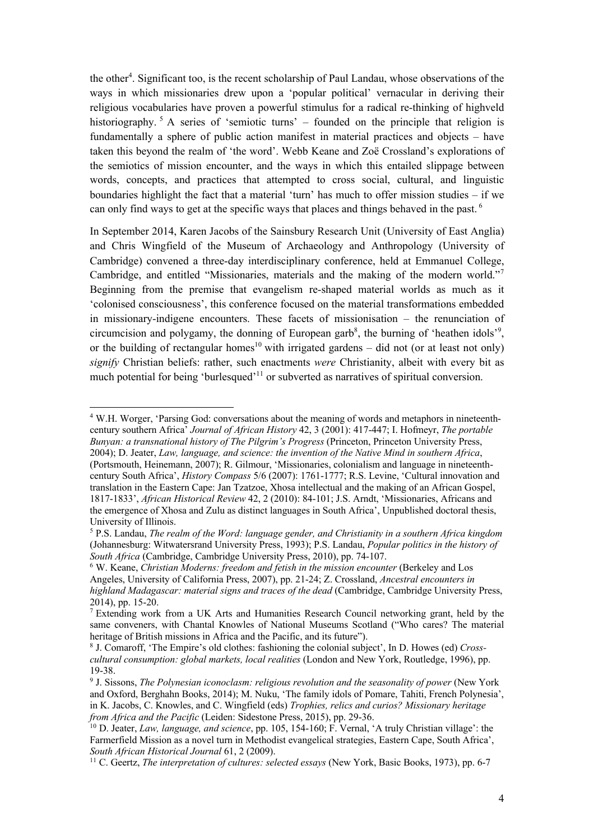the other<sup>4</sup>. Significant too, is the recent scholarship of Paul Landau, whose observations of the ways in which missionaries drew upon a 'popular political' vernacular in deriving their religious vocabularies have proven a powerful stimulus for a radical re-thinking of highveld historiography. <sup>5</sup> A series of 'semiotic turns' – founded on the principle that religion is fundamentally a sphere of public action manifest in material practices and objects – have taken this beyond the realm of 'the word'. Webb Keane and Zoë Crossland's explorations of the semiotics of mission encounter, and the ways in which this entailed slippage between words, concepts, and practices that attempted to cross social, cultural, and linguistic boundaries highlight the fact that a material 'turn' has much to offer mission studies – if we can only find ways to get at the specific ways that places and things behaved in the past. <sup>6</sup>

In September 2014, Karen Jacobs of the Sainsbury Research Unit (University of East Anglia) and Chris Wingfield of the Museum of Archaeology and Anthropology (University of Cambridge) convened a three-day interdisciplinary conference, held at Emmanuel College, Cambridge, and entitled "Missionaries, materials and the making of the modern world."<sup>7</sup> Beginning from the premise that evangelism re-shaped material worlds as much as it 'colonised consciousness', this conference focused on the material transformations embedded in missionary-indigene encounters. These facets of missionisation – the renunciation of circumcision and polygamy, the donning of European garb<sup>8</sup>, the burning of 'heathen idols'<sup>9</sup>, or the building of rectangular homes<sup>10</sup> with irrigated gardens – did not (or at least not only) *signify* Christian beliefs: rather, such enactments *were* Christianity, albeit with every bit as much potential for being 'burlesqued'<sup>11</sup> or subverted as narratives of spiritual conversion.

<sup>4</sup> W.H. Worger, 'Parsing God: conversations about the meaning of words and metaphors in nineteenthcentury southern Africa' *Journal of African History* 42, 3 (2001): 417-447; I. Hofmeyr, *The portable Bunyan: a transnational history of The Pilgrim's Progress* (Princeton, Princeton University Press, 2004); D. Jeater, *Law, language, and science: the invention of the Native Mind in southern Africa*, (Portsmouth, Heinemann, 2007); R. Gilmour, 'Missionaries, colonialism and language in nineteenthcentury South Africa', *History Compass* 5/6 (2007): 1761-1777; R.S. Levine, 'Cultural innovation and translation in the Eastern Cape: Jan Tzatzoe, Xhosa intellectual and the making of an African Gospel, 1817-1833', *African Historical Review* 42, 2 (2010): 84-101; J.S. Arndt, 'Missionaries, Africans and the emergence of Xhosa and Zulu as distinct languages in South Africa', Unpublished doctoral thesis, University of Illinois.

<sup>5</sup> P.S. Landau, *The realm of the Word: language gender, and Christianity in a southern Africa kingdom* (Johannesburg: Witwatersrand University Press, 1993); P.S. Landau, *Popular politics in the history of South Africa* (Cambridge, Cambridge University Press, 2010), pp. 74-107.

<sup>&</sup>lt;sup>6</sup> W. Keane, *Christian Moderns: freedom and fetish in the mission encounter* (Berkeley and Los Angeles, University of California Press, 2007), pp. 21-24; Z. Crossland, *Ancestral encounters in highland Madagascar: material signs and traces of the dead* (Cambridge, Cambridge University Press, 2014), pp. 15-20.

<sup>7</sup> Extending work from a UK Arts and Humanities Research Council networking grant, held by the same conveners, with Chantal Knowles of National Museums Scotland ("Who cares? The material heritage of British missions in Africa and the Pacific, and its future").

<sup>8</sup> J. Comaroff, 'The Empire's old clothes: fashioning the colonial subject', In D. Howes (ed) *Crosscultural consumption: global markets, local realities* (London and New York, Routledge, 1996), pp. 19-38.

<sup>9</sup> J. Sissons, *The Polynesian iconoclasm: religious revolution and the seasonality of power* (New York and Oxford, Berghahn Books, 2014); M. Nuku, 'The family idols of Pomare, Tahiti, French Polynesia', in K. Jacobs, C. Knowles, and C. Wingfield (eds) *Trophies, relics and curios? Missionary heritage from Africa and the Pacific* (Leiden: Sidestone Press, 2015), pp. 29-36.

<sup>10</sup> D. Jeater, *Law, language, and science*, pp. 105, 154-160; F. Vernal, 'A truly Christian village': the Farmerfield Mission as a novel turn in Methodist evangelical strategies, Eastern Cape, South Africa', *South African Historical Journal* 61, 2 (2009).

<sup>11</sup> C. Geertz, *The interpretation of cultures: selected essays* (New York, Basic Books, 1973), pp. 6-7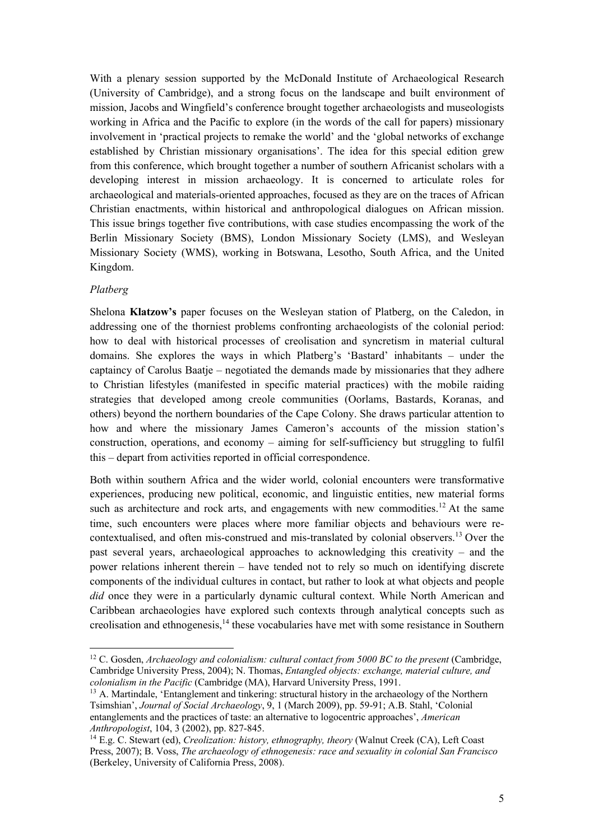With a plenary session supported by the McDonald Institute of Archaeological Research (University of Cambridge), and a strong focus on the landscape and built environment of mission, Jacobs and Wingfield's conference brought together archaeologists and museologists working in Africa and the Pacific to explore (in the words of the call for papers) missionary involvement in 'practical projects to remake the world' and the 'global networks of exchange established by Christian missionary organisations'. The idea for this special edition grew from this conference, which brought together a number of southern Africanist scholars with a developing interest in mission archaeology. It is concerned to articulate roles for archaeological and materials-oriented approaches, focused as they are on the traces of African Christian enactments, within historical and anthropological dialogues on African mission. This issue brings together five contributions, with case studies encompassing the work of the Berlin Missionary Society (BMS), London Missionary Society (LMS), and Wesleyan Missionary Society (WMS), working in Botswana, Lesotho, South Africa, and the United Kingdom.

### *Platberg*

Shelona **Klatzow's** paper focuses on the Wesleyan station of Platberg, on the Caledon, in addressing one of the thorniest problems confronting archaeologists of the colonial period: how to deal with historical processes of creolisation and syncretism in material cultural domains. She explores the ways in which Platberg's 'Bastard' inhabitants – under the captaincy of Carolus Baatje – negotiated the demands made by missionaries that they adhere to Christian lifestyles (manifested in specific material practices) with the mobile raiding strategies that developed among creole communities (Oorlams, Bastards, Koranas, and others) beyond the northern boundaries of the Cape Colony. She draws particular attention to how and where the missionary James Cameron's accounts of the mission station's construction, operations, and economy – aiming for self-sufficiency but struggling to fulfil this – depart from activities reported in official correspondence.

Both within southern Africa and the wider world, colonial encounters were transformative experiences, producing new political, economic, and linguistic entities, new material forms such as architecture and rock arts, and engagements with new commodities.<sup>12</sup> At the same time, such encounters were places where more familiar objects and behaviours were recontextualised, and often mis-construed and mis-translated by colonial observers.<sup>13</sup> Over the past several years, archaeological approaches to acknowledging this creativity – and the power relations inherent therein – have tended not to rely so much on identifying discrete components of the individual cultures in contact, but rather to look at what objects and people *did* once they were in a particularly dynamic cultural context. While North American and Caribbean archaeologies have explored such contexts through analytical concepts such as creolisation and ethnogenesis, $14$  these vocabularies have met with some resistance in Southern

<sup>12</sup> C. Gosden, *Archaeology and colonialism: cultural contact from 5000 BC to the present* (Cambridge, Cambridge University Press, 2004); N. Thomas, *Entangled objects: exchange, material culture, and colonialism in the Pacific* (Cambridge (MA), Harvard University Press, 1991.

<sup>&</sup>lt;sup>13</sup> A. Martindale, 'Entanglement and tinkering: structural history in the archaeology of the Northern Tsimshian', *Journal of Social Archaeology*, 9, 1 (March 2009), pp. 59-91; A.B. Stahl, 'Colonial entanglements and the practices of taste: an alternative to logocentric approaches', *American Anthropologist*, 104, 3 (2002), pp. 827-845.

<sup>14</sup> E.g. C. Stewart (ed), *Creolization: history, ethnography, theory* (Walnut Creek (CA), Left Coast Press, 2007); B. Voss, *The archaeology of ethnogenesis: race and sexuality in colonial San Francisco* (Berkeley, University of California Press, 2008).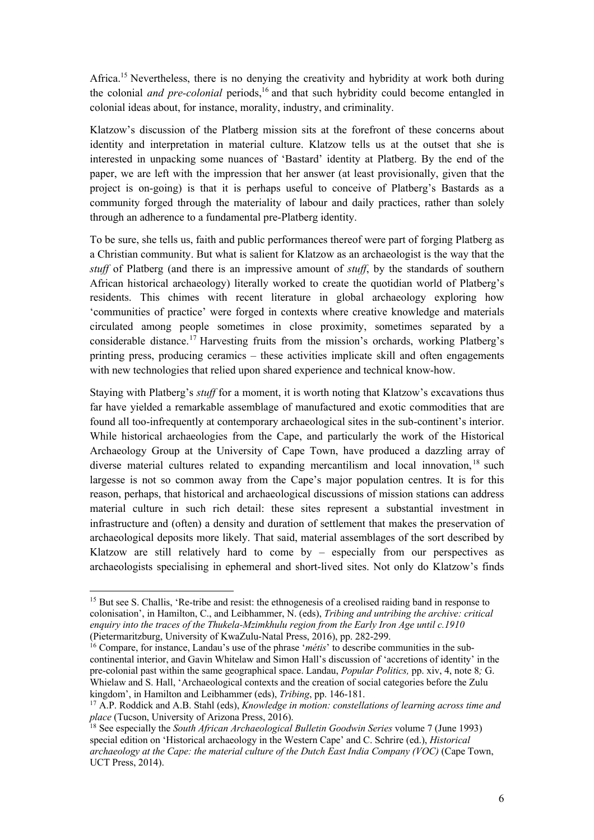Africa.<sup>15</sup> Nevertheless, there is no denying the creativity and hybridity at work both during the colonial *and pre-colonial* periods,<sup>16</sup> and that such hybridity could become entangled in colonial ideas about, for instance, morality, industry, and criminality.

Klatzow's discussion of the Platberg mission sits at the forefront of these concerns about identity and interpretation in material culture. Klatzow tells us at the outset that she is interested in unpacking some nuances of 'Bastard' identity at Platberg. By the end of the paper, we are left with the impression that her answer (at least provisionally, given that the project is on-going) is that it is perhaps useful to conceive of Platberg's Bastards as a community forged through the materiality of labour and daily practices, rather than solely through an adherence to a fundamental pre-Platberg identity.

To be sure, she tells us, faith and public performances thereof were part of forging Platberg as a Christian community. But what is salient for Klatzow as an archaeologist is the way that the *stuff* of Platberg (and there is an impressive amount of *stuff*, by the standards of southern African historical archaeology) literally worked to create the quotidian world of Platberg's residents. This chimes with recent literature in global archaeology exploring how 'communities of practice' were forged in contexts where creative knowledge and materials circulated among people sometimes in close proximity, sometimes separated by a considerable distance.<sup>17</sup> Harvesting fruits from the mission's orchards, working Platberg's printing press, producing ceramics – these activities implicate skill and often engagements with new technologies that relied upon shared experience and technical know-how.

Staying with Platberg's *stuff* for a moment, it is worth noting that Klatzow's excavations thus far have yielded a remarkable assemblage of manufactured and exotic commodities that are found all too-infrequently at contemporary archaeological sites in the sub-continent's interior. While historical archaeologies from the Cape, and particularly the work of the Historical Archaeology Group at the University of Cape Town, have produced a dazzling array of diverse material cultures related to expanding mercantilism and local innovation, <sup>18</sup> such largesse is not so common away from the Cape's major population centres. It is for this reason, perhaps, that historical and archaeological discussions of mission stations can address material culture in such rich detail: these sites represent a substantial investment in infrastructure and (often) a density and duration of settlement that makes the preservation of archaeological deposits more likely. That said, material assemblages of the sort described by Klatzow are still relatively hard to come by  $-$  especially from our perspectives as archaeologists specialising in ephemeral and short-lived sites. Not only do Klatzow's finds

<sup>&</sup>lt;sup>15</sup> But see S. Challis, 'Re-tribe and resist: the ethnogenesis of a creolised raiding band in response to colonisation', in Hamilton, C., and Leibhammer, N. (eds), *Tribing and untribing the archive: critical enquiry into the traces of the Thukela-Mzimkhulu region from the Early Iron Age until c.1910* (Pietermaritzburg, University of KwaZulu-Natal Press, 2016), pp. 282-299.

<sup>16</sup> Compare, for instance, Landau's use of the phrase '*métis*' to describe communities in the subcontinental interior, and Gavin Whitelaw and Simon Hall's discussion of 'accretions of identity' in the pre-colonial past within the same geographical space. Landau, *Popular Politics,* pp. xiv, 4, note 8*;* G. Whielaw and S. Hall, 'Archaeological contexts and the creation of social categories before the Zulu kingdom', in Hamilton and Leibhammer (eds), *Tribing*, pp. 146-181.

<sup>17</sup> A.P. Roddick and A.B. Stahl (eds), *Knowledge in motion: constellations of learning across time and place* (Tucson, University of Arizona Press, 2016).

<sup>18</sup> See especially the *South African Archaeological Bulletin Goodwin Series* volume 7 (June 1993) special edition on 'Historical archaeology in the Western Cape' and C. Schrire (ed.), *Historical archaeology at the Cape: the material culture of the Dutch East India Company (VOC)* (Cape Town, UCT Press, 2014).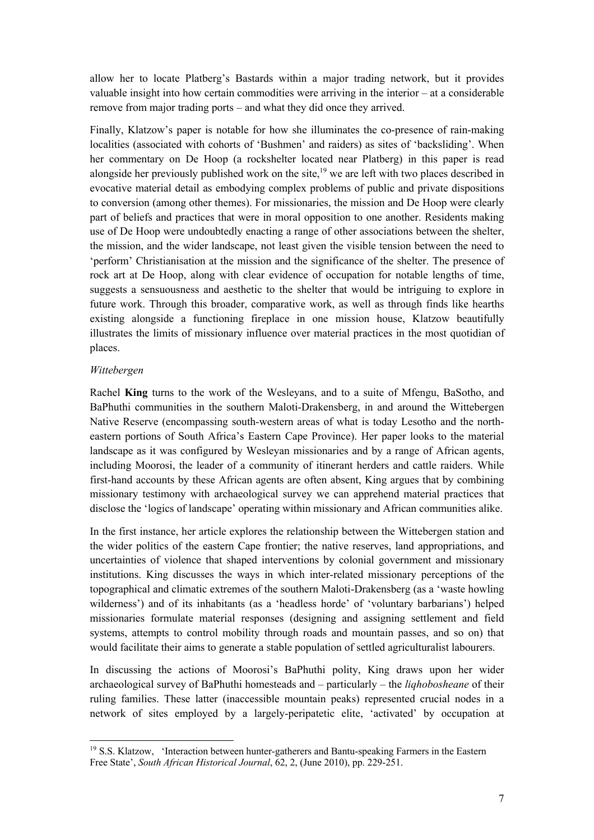allow her to locate Platberg's Bastards within a major trading network, but it provides valuable insight into how certain commodities were arriving in the interior – at a considerable remove from major trading ports – and what they did once they arrived.

Finally, Klatzow's paper is notable for how she illuminates the co-presence of rain-making localities (associated with cohorts of 'Bushmen' and raiders) as sites of 'backsliding'. When her commentary on De Hoop (a rockshelter located near Platberg) in this paper is read alongside her previously published work on the site, $19$  we are left with two places described in evocative material detail as embodying complex problems of public and private dispositions to conversion (among other themes). For missionaries, the mission and De Hoop were clearly part of beliefs and practices that were in moral opposition to one another. Residents making use of De Hoop were undoubtedly enacting a range of other associations between the shelter, the mission, and the wider landscape, not least given the visible tension between the need to 'perform' Christianisation at the mission and the significance of the shelter. The presence of rock art at De Hoop, along with clear evidence of occupation for notable lengths of time, suggests a sensuousness and aesthetic to the shelter that would be intriguing to explore in future work. Through this broader, comparative work, as well as through finds like hearths existing alongside a functioning fireplace in one mission house, Klatzow beautifully illustrates the limits of missionary influence over material practices in the most quotidian of places.

#### *Wittebergen*

Rachel **King** turns to the work of the Wesleyans, and to a suite of Mfengu, BaSotho, and BaPhuthi communities in the southern Maloti-Drakensberg, in and around the Wittebergen Native Reserve (encompassing south-western areas of what is today Lesotho and the northeastern portions of South Africa's Eastern Cape Province). Her paper looks to the material landscape as it was configured by Wesleyan missionaries and by a range of African agents, including Moorosi, the leader of a community of itinerant herders and cattle raiders. While first-hand accounts by these African agents are often absent, King argues that by combining missionary testimony with archaeological survey we can apprehend material practices that disclose the 'logics of landscape' operating within missionary and African communities alike.

In the first instance, her article explores the relationship between the Wittebergen station and the wider politics of the eastern Cape frontier; the native reserves, land appropriations, and uncertainties of violence that shaped interventions by colonial government and missionary institutions. King discusses the ways in which inter-related missionary perceptions of the topographical and climatic extremes of the southern Maloti-Drakensberg (as a 'waste howling wilderness') and of its inhabitants (as a 'headless horde' of 'voluntary barbarians') helped missionaries formulate material responses (designing and assigning settlement and field systems, attempts to control mobility through roads and mountain passes, and so on) that would facilitate their aims to generate a stable population of settled agriculturalist labourers.

In discussing the actions of Moorosi's BaPhuthi polity, King draws upon her wider archaeological survey of BaPhuthi homesteads and – particularly – the *liqhobosheane* of their ruling families. These latter (inaccessible mountain peaks) represented crucial nodes in a network of sites employed by a largely-peripatetic elite, 'activated' by occupation at

<sup>&</sup>lt;sup>19</sup> S.S. Klatzow, 'Interaction between hunter-gatherers and Bantu-speaking Farmers in the Eastern Free State', *South African Historical Journal*, 62, 2, (June 2010), pp. 229-251.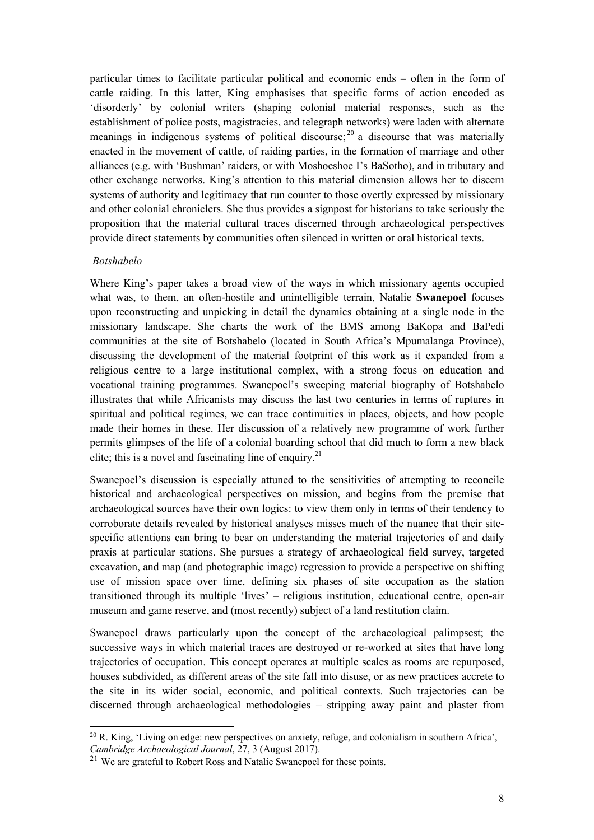particular times to facilitate particular political and economic ends – often in the form of cattle raiding. In this latter, King emphasises that specific forms of action encoded as 'disorderly' by colonial writers (shaping colonial material responses, such as the establishment of police posts, magistracies, and telegraph networks) were laden with alternate meanings in indigenous systems of political discourse;  $20$  a discourse that was materially enacted in the movement of cattle, of raiding parties, in the formation of marriage and other alliances (e.g. with 'Bushman' raiders, or with Moshoeshoe I's BaSotho), and in tributary and other exchange networks. King's attention to this material dimension allows her to discern systems of authority and legitimacy that run counter to those overtly expressed by missionary and other colonial chroniclers. She thus provides a signpost for historians to take seriously the proposition that the material cultural traces discerned through archaeological perspectives provide direct statements by communities often silenced in written or oral historical texts.

#### *Botshabelo*

Where King's paper takes a broad view of the ways in which missionary agents occupied what was, to them, an often-hostile and unintelligible terrain, Natalie **Swanepoel** focuses upon reconstructing and unpicking in detail the dynamics obtaining at a single node in the missionary landscape. She charts the work of the BMS among BaKopa and BaPedi communities at the site of Botshabelo (located in South Africa's Mpumalanga Province), discussing the development of the material footprint of this work as it expanded from a religious centre to a large institutional complex, with a strong focus on education and vocational training programmes. Swanepoel's sweeping material biography of Botshabelo illustrates that while Africanists may discuss the last two centuries in terms of ruptures in spiritual and political regimes, we can trace continuities in places, objects, and how people made their homes in these. Her discussion of a relatively new programme of work further permits glimpses of the life of a colonial boarding school that did much to form a new black elite; this is a novel and fascinating line of enquiry.<sup>21</sup>

Swanepoel's discussion is especially attuned to the sensitivities of attempting to reconcile historical and archaeological perspectives on mission, and begins from the premise that archaeological sources have their own logics: to view them only in terms of their tendency to corroborate details revealed by historical analyses misses much of the nuance that their sitespecific attentions can bring to bear on understanding the material trajectories of and daily praxis at particular stations. She pursues a strategy of archaeological field survey, targeted excavation, and map (and photographic image) regression to provide a perspective on shifting use of mission space over time, defining six phases of site occupation as the station transitioned through its multiple 'lives' – religious institution, educational centre, open-air museum and game reserve, and (most recently) subject of a land restitution claim.

Swanepoel draws particularly upon the concept of the archaeological palimpsest; the successive ways in which material traces are destroyed or re-worked at sites that have long trajectories of occupation. This concept operates at multiple scales as rooms are repurposed, houses subdivided, as different areas of the site fall into disuse, or as new practices accrete to the site in its wider social, economic, and political contexts. Such trajectories can be discerned through archaeological methodologies – stripping away paint and plaster from

 $^{20}$  R. King, 'Living on edge: new perspectives on anxiety, refuge, and colonialism in southern Africa', *Cambridge Archaeological Journal*, 27, 3 (August 2017).

<sup>21</sup> We are grateful to Robert Ross and Natalie Swanepoel for these points.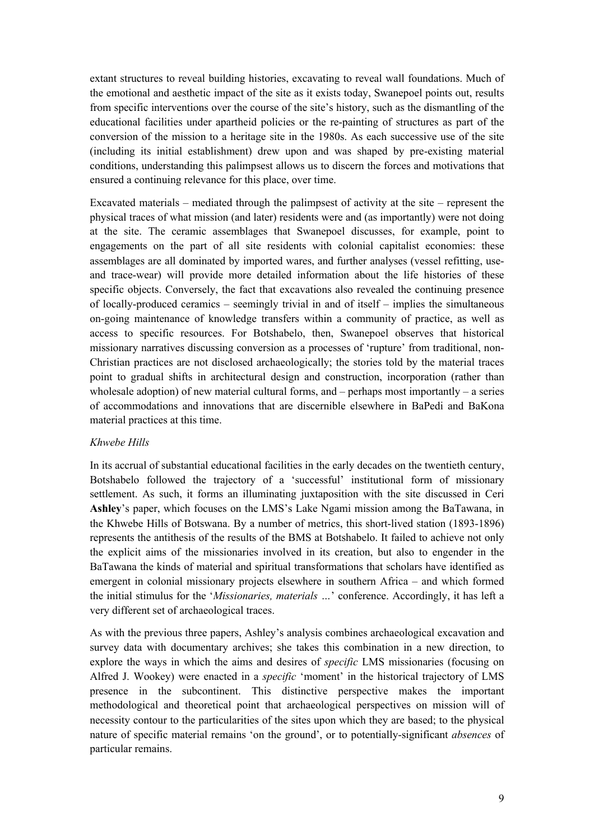extant structures to reveal building histories, excavating to reveal wall foundations. Much of the emotional and aesthetic impact of the site as it exists today, Swanepoel points out, results from specific interventions over the course of the site's history, such as the dismantling of the educational facilities under apartheid policies or the re-painting of structures as part of the conversion of the mission to a heritage site in the 1980s. As each successive use of the site (including its initial establishment) drew upon and was shaped by pre-existing material conditions, understanding this palimpsest allows us to discern the forces and motivations that ensured a continuing relevance for this place, over time.

Excavated materials – mediated through the palimpsest of activity at the site – represent the physical traces of what mission (and later) residents were and (as importantly) were not doing at the site. The ceramic assemblages that Swanepoel discusses, for example, point to engagements on the part of all site residents with colonial capitalist economies: these assemblages are all dominated by imported wares, and further analyses (vessel refitting, useand trace-wear) will provide more detailed information about the life histories of these specific objects. Conversely, the fact that excavations also revealed the continuing presence of locally-produced ceramics – seemingly trivial in and of itself – implies the simultaneous on-going maintenance of knowledge transfers within a community of practice, as well as access to specific resources. For Botshabelo, then, Swanepoel observes that historical missionary narratives discussing conversion as a processes of 'rupture' from traditional, non-Christian practices are not disclosed archaeologically; the stories told by the material traces point to gradual shifts in architectural design and construction, incorporation (rather than wholesale adoption) of new material cultural forms, and – perhaps most importantly – a series of accommodations and innovations that are discernible elsewhere in BaPedi and BaKona material practices at this time.

#### *Khwebe Hills*

In its accrual of substantial educational facilities in the early decades on the twentieth century, Botshabelo followed the trajectory of a 'successful' institutional form of missionary settlement. As such, it forms an illuminating juxtaposition with the site discussed in Ceri **Ashley**'s paper, which focuses on the LMS's Lake Ngami mission among the BaTawana, in the Khwebe Hills of Botswana. By a number of metrics, this short-lived station (1893-1896) represents the antithesis of the results of the BMS at Botshabelo. It failed to achieve not only the explicit aims of the missionaries involved in its creation, but also to engender in the BaTawana the kinds of material and spiritual transformations that scholars have identified as emergent in colonial missionary projects elsewhere in southern Africa – and which formed the initial stimulus for the '*Missionaries, materials …*' conference. Accordingly, it has left a very different set of archaeological traces.

As with the previous three papers, Ashley's analysis combines archaeological excavation and survey data with documentary archives; she takes this combination in a new direction, to explore the ways in which the aims and desires of *specific* LMS missionaries (focusing on Alfred J. Wookey) were enacted in a *specific* 'moment' in the historical trajectory of LMS presence in the subcontinent. This distinctive perspective makes the important methodological and theoretical point that archaeological perspectives on mission will of necessity contour to the particularities of the sites upon which they are based; to the physical nature of specific material remains 'on the ground', or to potentially-significant *absences* of particular remains.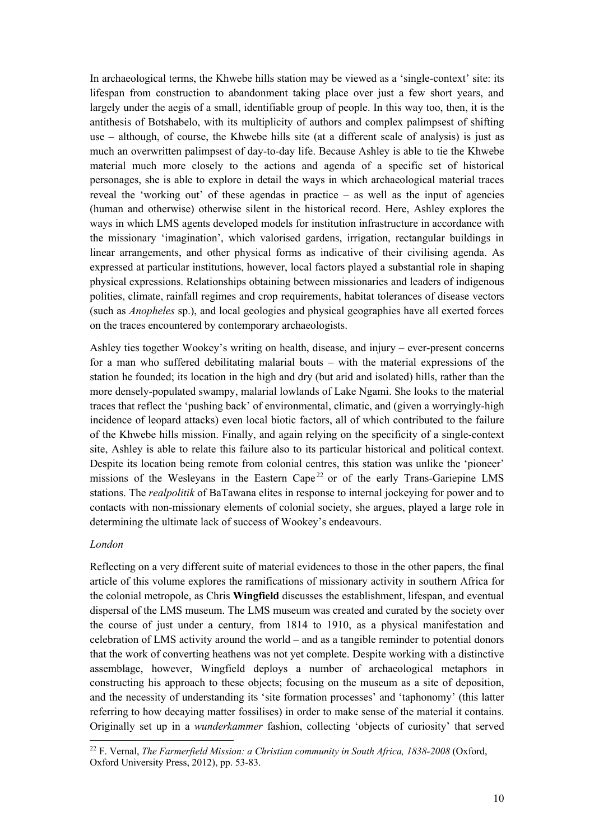In archaeological terms, the Khwebe hills station may be viewed as a 'single-context' site: its lifespan from construction to abandonment taking place over just a few short years, and largely under the aegis of a small, identifiable group of people. In this way too, then, it is the antithesis of Botshabelo, with its multiplicity of authors and complex palimpsest of shifting use – although, of course, the Khwebe hills site (at a different scale of analysis) is just as much an overwritten palimpsest of day-to-day life. Because Ashley is able to tie the Khwebe material much more closely to the actions and agenda of a specific set of historical personages, she is able to explore in detail the ways in which archaeological material traces reveal the 'working out' of these agendas in practice – as well as the input of agencies (human and otherwise) otherwise silent in the historical record. Here, Ashley explores the ways in which LMS agents developed models for institution infrastructure in accordance with the missionary 'imagination', which valorised gardens, irrigation, rectangular buildings in linear arrangements, and other physical forms as indicative of their civilising agenda. As expressed at particular institutions, however, local factors played a substantial role in shaping physical expressions. Relationships obtaining between missionaries and leaders of indigenous polities, climate, rainfall regimes and crop requirements, habitat tolerances of disease vectors (such as *Anopheles* sp.), and local geologies and physical geographies have all exerted forces on the traces encountered by contemporary archaeologists.

Ashley ties together Wookey's writing on health, disease, and injury – ever-present concerns for a man who suffered debilitating malarial bouts – with the material expressions of the station he founded; its location in the high and dry (but arid and isolated) hills, rather than the more densely-populated swampy, malarial lowlands of Lake Ngami. She looks to the material traces that reflect the 'pushing back' of environmental, climatic, and (given a worryingly-high incidence of leopard attacks) even local biotic factors, all of which contributed to the failure of the Khwebe hills mission. Finally, and again relying on the specificity of a single-context site, Ashley is able to relate this failure also to its particular historical and political context. Despite its location being remote from colonial centres, this station was unlike the 'pioneer' missions of the Wesleyans in the Eastern Cape<sup>22</sup> or of the early Trans-Gariepine LMS stations. The *realpolitik* of BaTawana elites in response to internal jockeying for power and to contacts with non-missionary elements of colonial society, she argues, played a large role in determining the ultimate lack of success of Wookey's endeavours.

## *London*

Reflecting on a very different suite of material evidences to those in the other papers, the final article of this volume explores the ramifications of missionary activity in southern Africa for the colonial metropole, as Chris **Wingfield** discusses the establishment, lifespan, and eventual dispersal of the LMS museum. The LMS museum was created and curated by the society over the course of just under a century, from 1814 to 1910, as a physical manifestation and celebration of LMS activity around the world – and as a tangible reminder to potential donors that the work of converting heathens was not yet complete. Despite working with a distinctive assemblage, however, Wingfield deploys a number of archaeological metaphors in constructing his approach to these objects; focusing on the museum as a site of deposition, and the necessity of understanding its 'site formation processes' and 'taphonomy' (this latter referring to how decaying matter fossilises) in order to make sense of the material it contains. Originally set up in a *wunderkammer* fashion, collecting 'objects of curiosity' that served

<sup>22</sup> F. Vernal, *The Farmerfield Mission: a Christian community in South Africa, 1838-2008* (Oxford, Oxford University Press, 2012), pp. 53-83.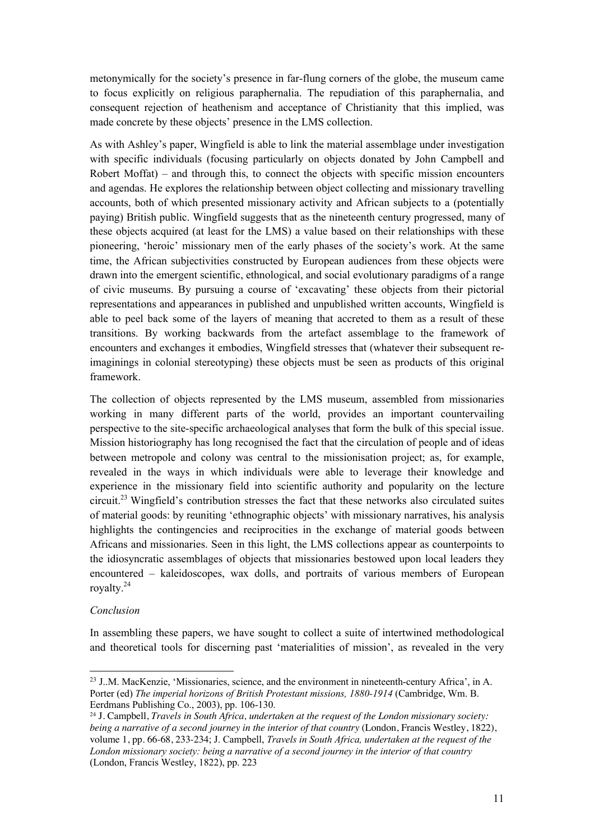metonymically for the society's presence in far-flung corners of the globe, the museum came to focus explicitly on religious paraphernalia. The repudiation of this paraphernalia, and consequent rejection of heathenism and acceptance of Christianity that this implied, was made concrete by these objects' presence in the LMS collection.

As with Ashley's paper, Wingfield is able to link the material assemblage under investigation with specific individuals (focusing particularly on objects donated by John Campbell and Robert Moffat) – and through this, to connect the objects with specific mission encounters and agendas. He explores the relationship between object collecting and missionary travelling accounts, both of which presented missionary activity and African subjects to a (potentially paying) British public. Wingfield suggests that as the nineteenth century progressed, many of these objects acquired (at least for the LMS) a value based on their relationships with these pioneering, 'heroic' missionary men of the early phases of the society's work. At the same time, the African subjectivities constructed by European audiences from these objects were drawn into the emergent scientific, ethnological, and social evolutionary paradigms of a range of civic museums. By pursuing a course of 'excavating' these objects from their pictorial representations and appearances in published and unpublished written accounts, Wingfield is able to peel back some of the layers of meaning that accreted to them as a result of these transitions. By working backwards from the artefact assemblage to the framework of encounters and exchanges it embodies, Wingfield stresses that (whatever their subsequent reimaginings in colonial stereotyping) these objects must be seen as products of this original framework.

The collection of objects represented by the LMS museum, assembled from missionaries working in many different parts of the world, provides an important countervailing perspective to the site-specific archaeological analyses that form the bulk of this special issue. Mission historiography has long recognised the fact that the circulation of people and of ideas between metropole and colony was central to the missionisation project; as, for example, revealed in the ways in which individuals were able to leverage their knowledge and experience in the missionary field into scientific authority and popularity on the lecture circuit.<sup>23</sup> Wingfield's contribution stresses the fact that these networks also circulated suites of material goods: by reuniting 'ethnographic objects' with missionary narratives, his analysis highlights the contingencies and reciprocities in the exchange of material goods between Africans and missionaries. Seen in this light, the LMS collections appear as counterpoints to the idiosyncratic assemblages of objects that missionaries bestowed upon local leaders they encountered – kaleidoscopes, wax dolls, and portraits of various members of European royalty. 24

#### *Conclusion*

In assembling these papers, we have sought to collect a suite of intertwined methodological and theoretical tools for discerning past 'materialities of mission', as revealed in the very

<sup>23</sup> J..M. MacKenzie, 'Missionaries, science, and the environment in nineteenth-century Africa', in A. Porter (ed) *The imperial horizons of British Protestant missions, 1880-1914* (Cambridge, Wm. B. Eerdmans Publishing Co., 2003), pp. 106-130.

<sup>24</sup> J. Campbell, *Travels in South Africa, undertaken at the request of the London missionary society: being a narrative of a second journey in the interior of that country* (London, Francis Westley, 1822), volume 1, pp. 66-68, 233-234; J. Campbell, *Travels in South Africa, undertaken at the request of the London missionary society: being a narrative of a second journey in the interior of that country*  (London, Francis Westley, 1822), pp. 223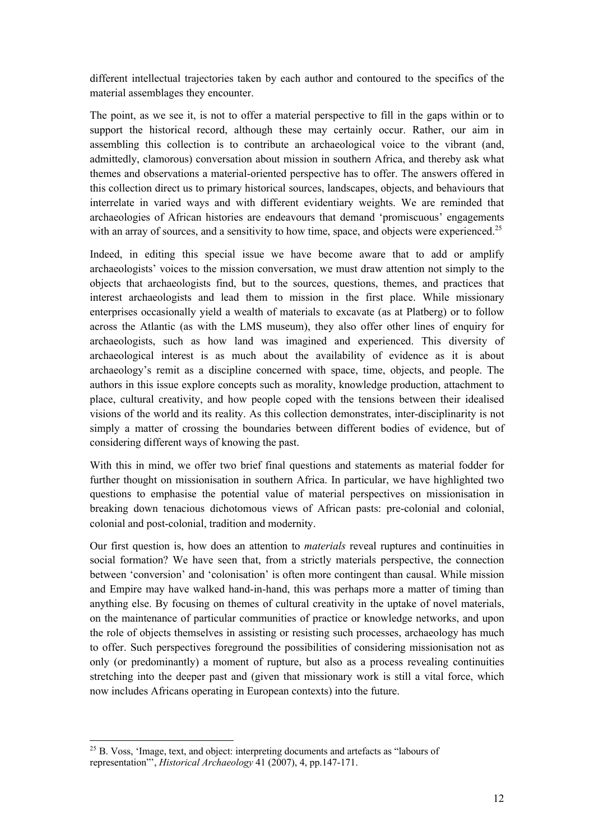different intellectual trajectories taken by each author and contoured to the specifics of the material assemblages they encounter.

The point, as we see it, is not to offer a material perspective to fill in the gaps within or to support the historical record, although these may certainly occur. Rather, our aim in assembling this collection is to contribute an archaeological voice to the vibrant (and, admittedly, clamorous) conversation about mission in southern Africa, and thereby ask what themes and observations a material-oriented perspective has to offer. The answers offered in this collection direct us to primary historical sources, landscapes, objects, and behaviours that interrelate in varied ways and with different evidentiary weights. We are reminded that archaeologies of African histories are endeavours that demand 'promiscuous' engagements with an array of sources, and a sensitivity to how time, space, and objects were experienced.<sup>25</sup>

Indeed, in editing this special issue we have become aware that to add or amplify archaeologists' voices to the mission conversation, we must draw attention not simply to the objects that archaeologists find, but to the sources, questions, themes, and practices that interest archaeologists and lead them to mission in the first place. While missionary enterprises occasionally yield a wealth of materials to excavate (as at Platberg) or to follow across the Atlantic (as with the LMS museum), they also offer other lines of enquiry for archaeologists, such as how land was imagined and experienced. This diversity of archaeological interest is as much about the availability of evidence as it is about archaeology's remit as a discipline concerned with space, time, objects, and people. The authors in this issue explore concepts such as morality, knowledge production, attachment to place, cultural creativity, and how people coped with the tensions between their idealised visions of the world and its reality. As this collection demonstrates, inter-disciplinarity is not simply a matter of crossing the boundaries between different bodies of evidence, but of considering different ways of knowing the past.

With this in mind, we offer two brief final questions and statements as material fodder for further thought on missionisation in southern Africa. In particular, we have highlighted two questions to emphasise the potential value of material perspectives on missionisation in breaking down tenacious dichotomous views of African pasts: pre-colonial and colonial, colonial and post-colonial, tradition and modernity.

Our first question is, how does an attention to *materials* reveal ruptures and continuities in social formation? We have seen that, from a strictly materials perspective, the connection between 'conversion' and 'colonisation' is often more contingent than causal. While mission and Empire may have walked hand-in-hand, this was perhaps more a matter of timing than anything else. By focusing on themes of cultural creativity in the uptake of novel materials, on the maintenance of particular communities of practice or knowledge networks, and upon the role of objects themselves in assisting or resisting such processes, archaeology has much to offer. Such perspectives foreground the possibilities of considering missionisation not as only (or predominantly) a moment of rupture, but also as a process revealing continuities stretching into the deeper past and (given that missionary work is still a vital force, which now includes Africans operating in European contexts) into the future.

<sup>&</sup>lt;sup>25</sup> B. Voss, 'Image, text, and object: interpreting documents and artefacts as "labours of representation"', *Historical Archaeology* 41 (2007), 4, pp.147-171.